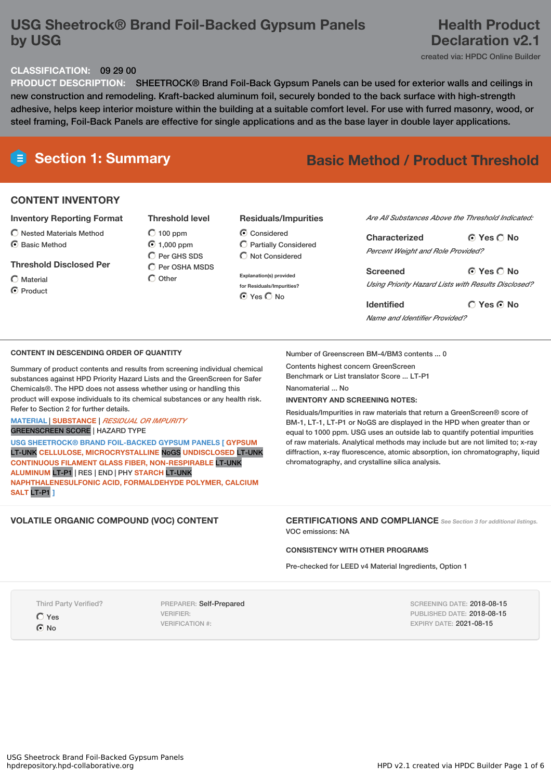# **USG Sheetrock® Brand Foil-Backed Gypsum Panels by USG**

## **Health Product Declaration v2.1**

created via: HPDC Online Builder

#### **CLASSIFICATION:** 09 29 00

**PRODUCT DESCRIPTION:** SHEETROCK® Brand Foil-Back Gypsum Panels can be used for exterior walls and ceilings in new construction and remodeling. Kraft-backed aluminum foil, securely bonded to the back surface with high-strength adhesive, helps keep interior moisture within the building at a suitable comfort level. For use with furred masonry, wood, or steel framing, Foil-Back Panels are effective for single applications and as the base layer in double layer applications.

# **Section 1: Summary Basic Method / Product Threshold**

#### **CONTENT INVENTORY**

#### **Inventory Reporting Format**

- $\bigcirc$  Nested Materials Method
- C Basic Method

#### **Threshold Disclosed Per**

 $\bigcap$  Material

C Product

 $O$  100 ppm  $\odot$  1.000 ppm  $O$  Per GHS SDS  $\overline{O}$  Per OSHA MSDS  $\bigcirc$  Other

**Threshold level**

#### **Residuals/Impurities**

- Considered Partially Considered  $\bigcirc$  Not Considered
- **Explanation(s) provided for Residuals/Impurities?** ⊙ Yes O No

#### *Are All Substances Above the Threshold Indicated:*

**Yes No Characterized** *Percent Weight and Role Provided?*

**Yes No Screened** *Using Priority Hazard Lists with Results Disclosed?*

**Yes No Identified** *Name and Identifier Provided?*

#### **CONTENT IN DESCENDING ORDER OF QUANTITY**

Summary of product contents and results from screening individual chemical substances against HPD Priority Hazard Lists and the GreenScreen for Safer Chemicals®. The HPD does not assess whether using or handling this product will expose individuals to its chemical substances or any health risk. Refer to Section 2 for further details.

**MATERIAL** | **SUBSTANCE** | *RESIDUAL OR IMPURITY*

GREENSCREEN SCORE | HAZARD TYPE

**USG SHEETROCK® BRAND FOIL-BACKED GYPSUM PANELS [ GYPSUM** LT-UNK **CELLULOSE, MICROCRYSTALLINE** NoGS **UNDISCLOSED** LT-UNK **CONTINUOUS FILAMENT GLASS FIBER, NON-RESPIRABLE** LT-UNK **ALUMINUM** LT-P1 | RES | END | PHY **STARCH** LT-UNK **NAPHTHALENESULFONIC ACID, FORMALDEHYDE POLYMER, CALCIUM SALT** LT-P1 **]**

Number of Greenscreen BM-4/BM3 contents ... 0

Contents highest concern GreenScreen Benchmark or List translator Score ... LT-P1

Nanomaterial No.

#### **INVENTORY AND SCREENING NOTES:**

Residuals/Impurities in raw materials that return a GreenScreen® score of BM-1, LT-1, LT-P1 or NoGS are displayed in the HPD when greater than or equal to 1000 ppm. USG uses an outside lab to quantify potential impurities of raw materials. Analytical methods may include but are not limited to; x-ray diffraction, x-ray fluorescence, atomic absorption, ion chromatography, liquid chromatography, and crystalline silica analysis.

**VOLATILE ORGANIC COMPOUND (VOC) CONTENT CERTIFICATIONS AND COMPLIANCE** *See Section <sup>3</sup> for additional listings.* VOC emissions: NA

#### **CONSISTENCY WITH OTHER PROGRAMS**

Pre-checked for LEED v4 Material Ingredients, Option 1

Third Party Verified?

Yes

 $\odot$  No

PREPARER: Self-Prepared VERIFIER: VERIFICATION #:

SCREENING DATE: 2018-08-15 PUBLISHED DATE: 2018-08-15 EXPIRY DATE: 2021-08-15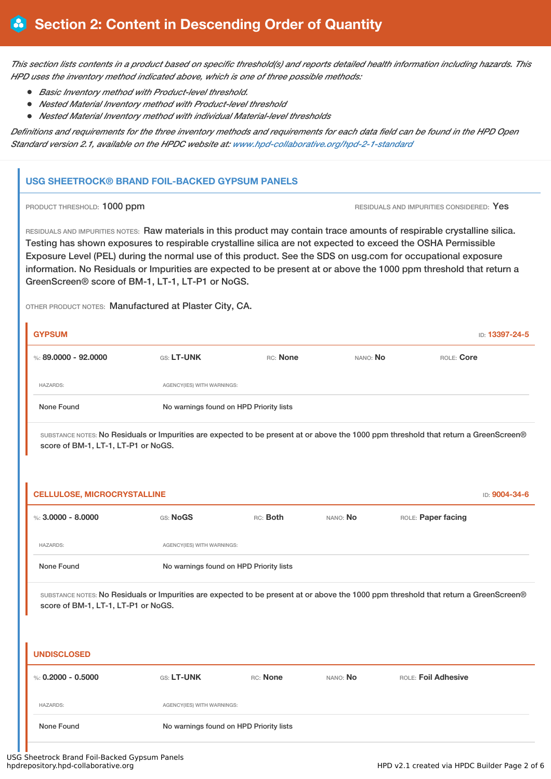This section lists contents in a product based on specific threshold(s) and reports detailed health information including hazards. This *HPD uses the inventory method indicated above, which is one of three possible methods:*

- *Basic Inventory method with Product-level threshold.*
- *Nested Material Inventory method with Product-level threshold*
- *Nested Material Inventory method with individual Material-level thresholds*

Definitions and requirements for the three inventory methods and requirements for each data field can be found in the HPD Open *Standard version 2.1, available on the HPDC website at: www.hpd-collaborative.org/hpd-2-1-standard*

#### **USG SHEETROCK® BRAND FOIL-BACKED GYPSUM PANELS**

**PRODUCT THRESHOLD: 1000 ppm RESIDUALS AND IMPURITIES CONSIDERED: Yes** 

RESIDUALS AND IMPURITIES NOTES: Raw materials in this product may contain trace amounts of respirable crystalline silica. Testing has shown exposures to respirable crystalline silica are not expected to exceed the OSHA Permissible Exposure Level (PEL) during the normal use of this product. See the SDS on usg.com for occupational exposure information. No Residuals or Impurities are expected to be present at or above the 1000 ppm threshold that return a GreenScreen® score of BM-1, LT-1, LT-P1 or NoGS.

OTHER PRODUCT NOTES: Manufactured at Plaster City, CA.

|                                         |          |                 | ID: <b>13397-24-5</b> |
|-----------------------------------------|----------|-----------------|-----------------------|
| GS: LT-UNK                              | RC: None | NANO: <b>No</b> | ROLE: Core            |
| AGENCY(IES) WITH WARNINGS:              |          |                 |                       |
| No warnings found on HPD Priority lists |          |                 |                       |
|                                         |          |                 |                       |

SUBSTANCE NOTES: No Residuals or Impurities are expected to be present at or above the 1000 ppm threshold that return a GreenScreen® score of BM-1, LT-1, LT-P1 or NoGS.

| <b>CELLULOSE, MICROCRYSTALLINE</b> |                            |                                         |          |                    | ID: 9004-34-6 |
|------------------------------------|----------------------------|-----------------------------------------|----------|--------------------|---------------|
| %: $3,0000 - 8,0000$               | GS: NoGS                   | RC: Both                                | NANO: No | ROLE: Paper facing |               |
| <b>HAZARDS:</b>                    | AGENCY(IES) WITH WARNINGS: |                                         |          |                    |               |
| None Found                         |                            | No warnings found on HPD Priority lists |          |                    |               |

SUBSTANCE NOTES: No Residuals or Impurities are expected to be present at or above the 1000 ppm threshold that return a GreenScreen® score of BM-1, LT-1, LT-P1 or NoGS.

# **UNDISCLOSED** %: **0.2000 - 0.5000** GS: **LT-UNK** RC: **None** NANO: **No** ROLE: **Foil Adhesive** HAZARDS: AGENCY(IES) WITH WARNINGS: None Found No warnings found on HPD Priority lists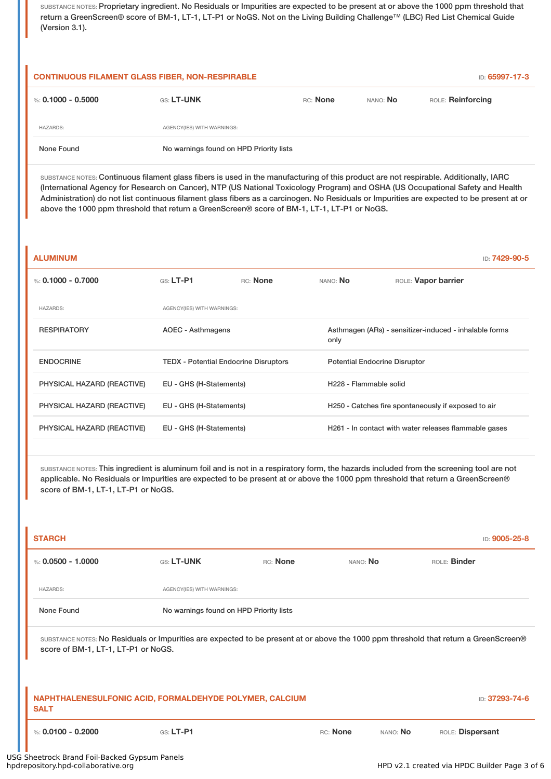SUBSTANCE NOTES: Proprietary ingredient. No Residuals or Impurities are expected to be present at or above the 1000 ppm threshold that return a GreenScreen® score of BM-1, LT-1, LT-P1 or NoGS. Not on the Living Building Challenge™ (LBC) Red List Chemical Guide (Version 3.1).

| <b>CONTINUOUS FILAMENT GLASS FIBER, NON-RESPIRABLE</b> |                                         |          | ID: 65997-17-3 |                   |
|--------------------------------------------------------|-----------------------------------------|----------|----------------|-------------------|
| %: 0.1000 - 0.5000                                     | <b>GS: LT-UNK</b>                       | RC: None | NANO: No       | ROLE: Reinforcing |
| <b>HAZARDS:</b>                                        | AGENCY(IES) WITH WARNINGS:              |          |                |                   |
| None Found                                             | No warnings found on HPD Priority lists |          |                |                   |

SUBSTANCE NOTES: Continuous filament glass fibers is used in the manufacturing of this product are not respirable. Additionally, IARC (International Agency for Research on Cancer), NTP (US National Toxicology Program) and OSHA (US Occupational Safety and Health Administration) do not list continuous filament glass fibers as a carcinogen. No Residuals or Impurities are expected to be present at or above the 1000 ppm threshold that return a GreenScreen® score of BM-1, LT-1, LT-P1 or NoGS.

| <b>ALUMINUM</b>            |                                              |          |                                                     | ID: 7429-90-5                                          |  |  |
|----------------------------|----------------------------------------------|----------|-----------------------------------------------------|--------------------------------------------------------|--|--|
| %: $0.1000 - 0.7000$       | $G.S.$ LT-P1                                 | RC: None | NANO: No                                            | ROLE: Vapor barrier                                    |  |  |
| <b>HAZARDS:</b>            | AGENCY(IES) WITH WARNINGS:                   |          |                                                     |                                                        |  |  |
| <b>RESPIRATORY</b>         | AOEC - Asthmagens                            |          | only                                                | Asthmagen (ARs) - sensitizer-induced - inhalable forms |  |  |
| <b>ENDOCRINE</b>           | <b>TEDX - Potential Endocrine Disruptors</b> |          |                                                     | <b>Potential Endocrine Disruptor</b>                   |  |  |
| PHYSICAL HAZARD (REACTIVE) | EU - GHS (H-Statements)                      |          | H228 - Flammable solid                              |                                                        |  |  |
| PHYSICAL HAZARD (REACTIVE) | EU - GHS (H-Statements)                      |          | H250 - Catches fire spontaneously if exposed to air |                                                        |  |  |
| PHYSICAL HAZARD (REACTIVE) | EU - GHS (H-Statements)                      |          |                                                     | H261 - In contact with water releases flammable gases  |  |  |

SUBSTANCE NOTES: This ingredient is aluminum foil and is not in a respiratory form, the hazards included from the screening tool are not applicable. No Residuals or Impurities are expected to be present at or above the 1000 ppm threshold that return a GreenScreen® score of BM-1, LT-1, LT-P1 or NoGS.

| <b>STARCH</b>                                                                                                                                                               |                                         |          |          |          |                  | ID: 9005-25-8  |
|-----------------------------------------------------------------------------------------------------------------------------------------------------------------------------|-----------------------------------------|----------|----------|----------|------------------|----------------|
| %: $0.0500 - 1.0000$                                                                                                                                                        | GS: LT-UNK                              | RC: None | NANO: No |          | ROLE: Binder     |                |
| <b>HAZARDS:</b>                                                                                                                                                             | AGENCY(IES) WITH WARNINGS:              |          |          |          |                  |                |
| None Found                                                                                                                                                                  | No warnings found on HPD Priority lists |          |          |          |                  |                |
| SUBSTANCE NOTES: No Residuals or Impurities are expected to be present at or above the 1000 ppm threshold that return a GreenScreen®<br>score of BM-1, LT-1, LT-P1 or NoGS. |                                         |          |          |          |                  |                |
| NAPHTHALENESULFONIC ACID, FORMALDEHYDE POLYMER, CALCIUM<br><b>SALT</b>                                                                                                      |                                         |          |          |          |                  | ID: 37293-74-6 |
| %: $0.0100 - 0.2000$                                                                                                                                                        | $GS: LT-P1$                             |          | RC: None | NANO: No | ROLE: Dispersant |                |

USG Sheetrock Brand Foil-Backed Gypsum Panels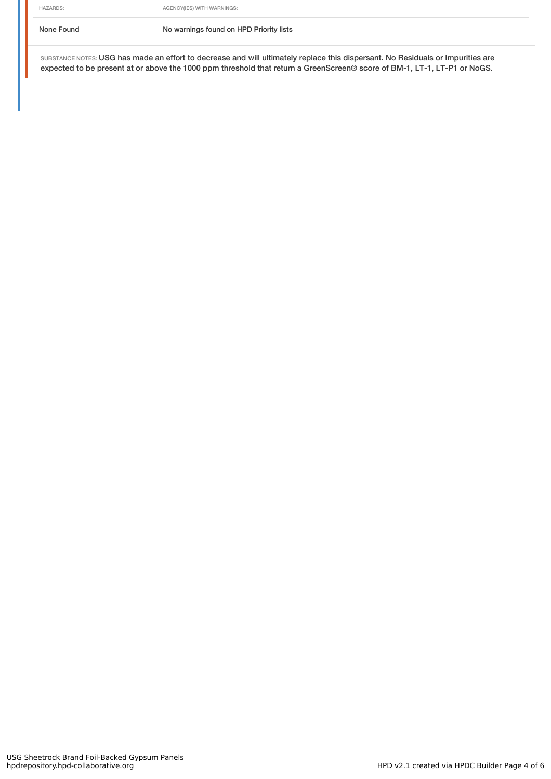None Found No warnings found on HPD Priority lists

SUBSTANCE NOTES: USG has made an effort to decrease and will ultimately replace this dispersant. No Residuals or Impurities are expected to be present at or above the 1000 ppm threshold that return a GreenScreen® score of BM-1, LT-1, LT-P1 or NoGS.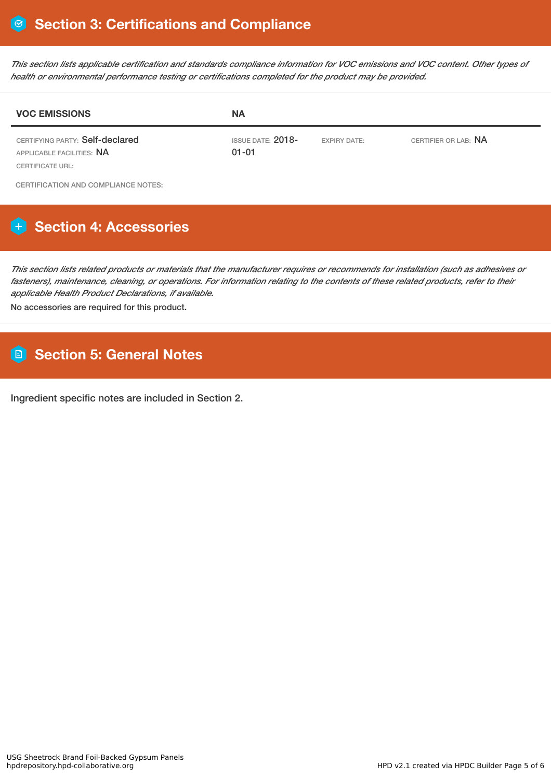This section lists applicable certification and standards compliance information for VOC emissions and VOC content. Other types of *health or environmental performance testing or certifications completed for the product may be provided.*

| <b>VOC EMISSIONS</b>                                                             | <b>NA</b>                        |                     |                      |  |
|----------------------------------------------------------------------------------|----------------------------------|---------------------|----------------------|--|
| CERTIFYING PARTY: Self-declared<br>APPLICABLE FACILITIES: NA<br>CERTIFICATE URL: | ISSUE DATE: $2018-$<br>$01 - 01$ | <b>EXPIRY DATE:</b> | CERTIFIER OR LAB: NA |  |
| CERTIFICATION AND COMPLIANCE NOTES.                                              |                                  |                     |                      |  |

**CERTIFICATION AND COMPLIANCE NOTES:** 

# **Section 4: Accessories**

This section lists related products or materials that the manufacturer requires or recommends for installation (such as adhesives or fasteners), maintenance, cleaning, or operations. For information relating to the contents of these related products, refer to their *applicable Health Product Declarations, if available.*

No accessories are required for this product.

# **Section 5: General Notes**

Ingredient specific notes are included in Section 2.